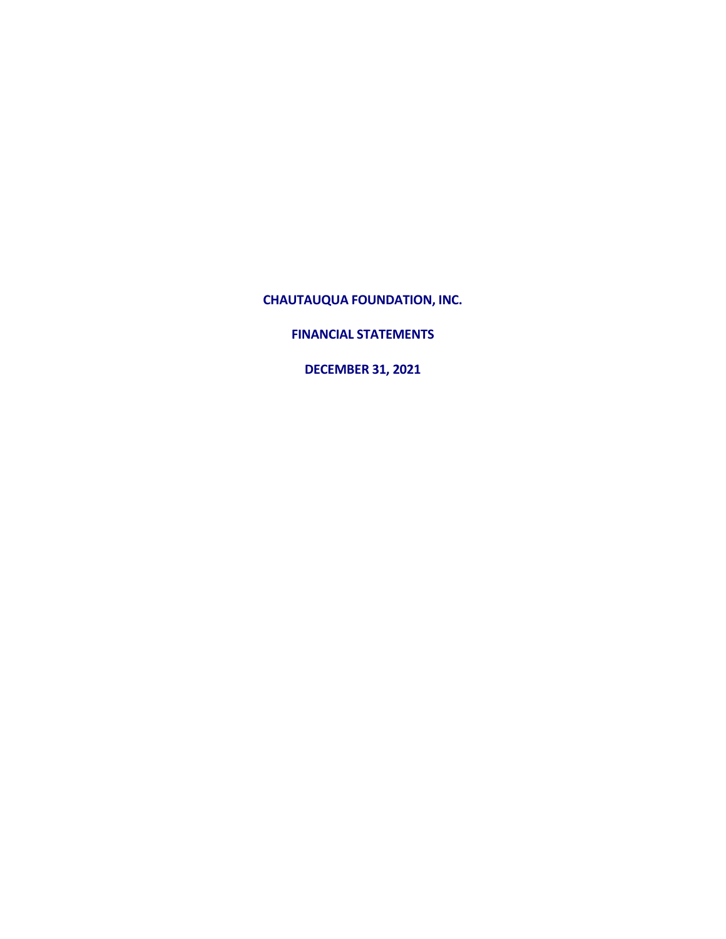**CHAUTAUQUA FOUNDATION, INC.**

**FINANCIAL STATEMENTS**

**DECEMBER 31, 2021**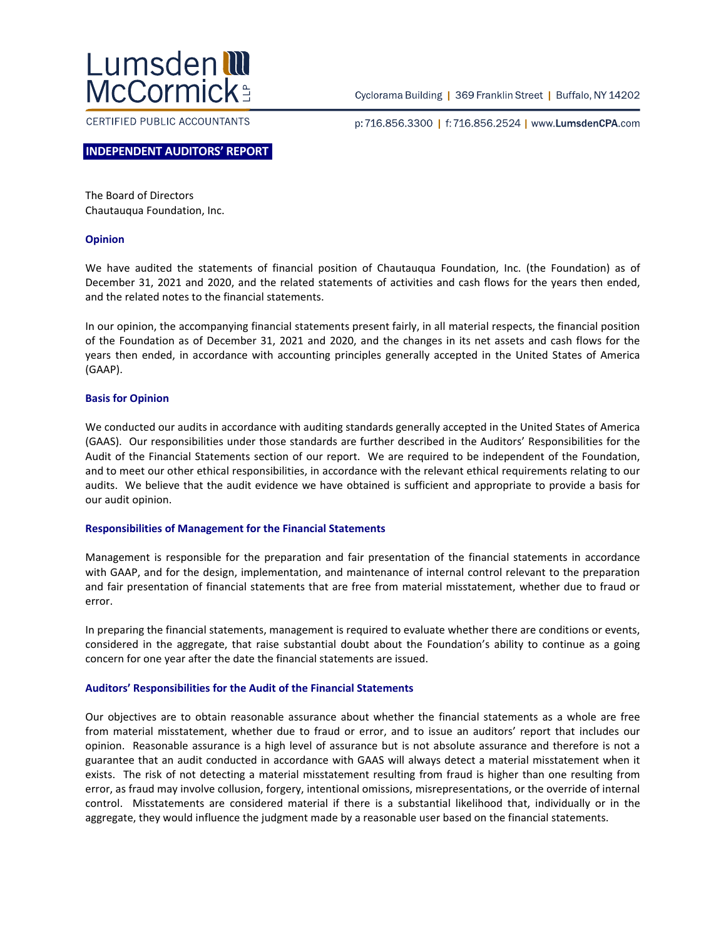

CERTIFIED PUBLIC ACCOUNTANTS

Cyclorama Building | 369 Franklin Street | Buffalo, NY 14202

p:716.856.3300 | f:716.856.2524 | www.LumsdenCPA.com

**INDEPENDENT AUDITORS' REPORT**

The Board of Directors Chautauqua Foundation, Inc.

# **Opinion**

We have audited the statements of financial position of Chautauqua Foundation, Inc. (the Foundation) as of December 31, 2021 and 2020, and the related statements of activities and cash flows for the years then ended, and the related notes to the financial statements.

In our opinion, the accompanying financial statements present fairly, in all material respects, the financial position of the Foundation as of December 31, 2021 and 2020, and the changes in its net assets and cash flows for the years then ended, in accordance with accounting principles generally accepted in the United States of America (GAAP).

## **Basis for Opinion**

We conducted our audits in accordance with auditing standards generally accepted in the United States of America (GAAS). Our responsibilities under those standards are further described in the Auditors' Responsibilities for the Audit of the Financial Statements section of our report. We are required to be independent of the Foundation, and to meet our other ethical responsibilities, in accordance with the relevant ethical requirements relating to our audits. We believe that the audit evidence we have obtained is sufficient and appropriate to provide a basis for our audit opinion.

### **Responsibilities of Management for the Financial Statements**

Management is responsible for the preparation and fair presentation of the financial statements in accordance with GAAP, and for the design, implementation, and maintenance of internal control relevant to the preparation and fair presentation of financial statements that are free from material misstatement, whether due to fraud or error.

In preparing the financial statements, management is required to evaluate whether there are conditions or events, considered in the aggregate, that raise substantial doubt about the Foundation's ability to continue as a going concern for one year after the date the financial statements are issued.

# **Auditors' Responsibilities for the Audit of the Financial Statements**

Our objectives are to obtain reasonable assurance about whether the financial statements as a whole are free from material misstatement, whether due to fraud or error, and to issue an auditors' report that includes our opinion. Reasonable assurance is a high level of assurance but is not absolute assurance and therefore is not a guarantee that an audit conducted in accordance with GAAS will always detect a material misstatement when it exists. The risk of not detecting a material misstatement resulting from fraud is higher than one resulting from error, as fraud may involve collusion, forgery, intentional omissions, misrepresentations, or the override of internal control. Misstatements are considered material if there is a substantial likelihood that, individually or in the aggregate, they would influence the judgment made by a reasonable user based on the financial statements.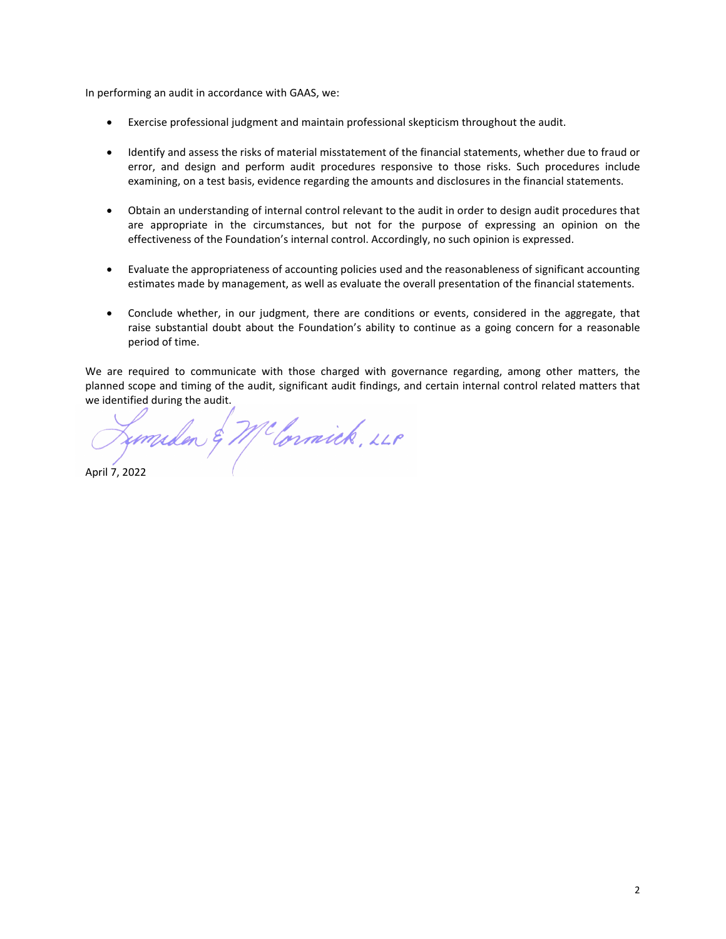In performing an audit in accordance with GAAS, we:

- Exercise professional judgment and maintain professional skepticism throughout the audit.
- Identify and assess the risks of material misstatement of the financial statements, whether due to fraud or error, and design and perform audit procedures responsive to those risks. Such procedures include examining, on a test basis, evidence regarding the amounts and disclosures in the financial statements.
- Obtain an understanding of internal control relevant to the audit in order to design audit procedures that are appropriate in the circumstances, but not for the purpose of expressing an opinion on the effectiveness of the Foundation's internal control. Accordingly, no such opinion is expressed.
- Evaluate the appropriateness of accounting policies used and the reasonableness of significant accounting estimates made by management, as well as evaluate the overall presentation of the financial statements.
- Conclude whether, in our judgment, there are conditions or events, considered in the aggregate, that raise substantial doubt about the Foundation's ability to continue as a going concern for a reasonable period of time.

We are required to communicate with those charged with governance regarding, among other matters, the planned scope and timing of the audit, significant audit findings, and certain internal control related matters that we identified during the audit.

umiden & McCormick, 220 April 7, 2022

2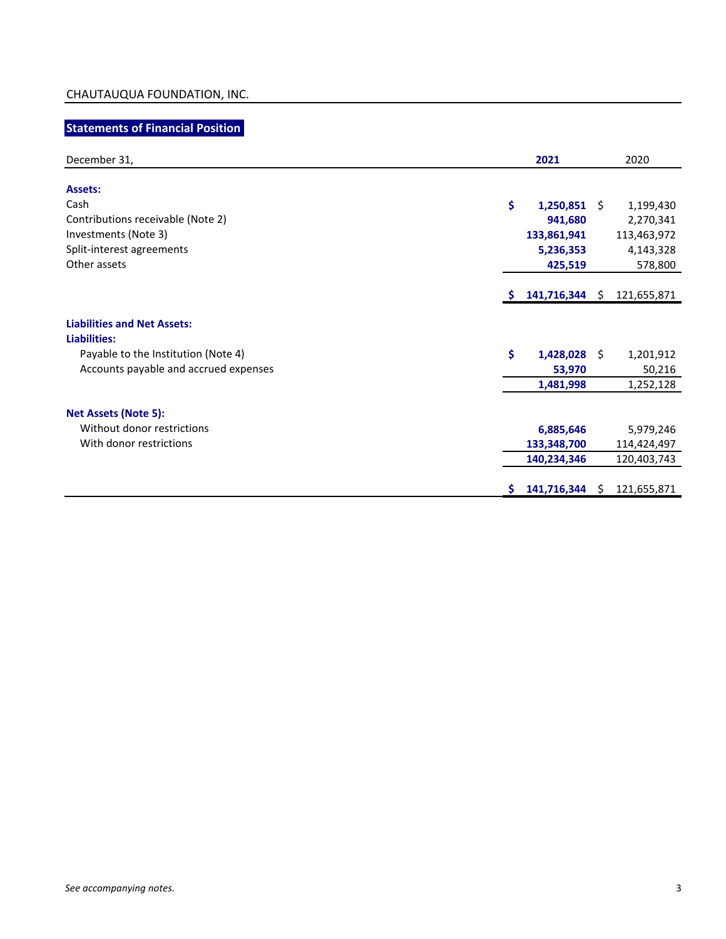# CHAUTAUQUA FOUNDATION, INC.

# **Statements of Financial Position**

| December 31,                          |    | 2021             | 2020        |
|---------------------------------------|----|------------------|-------------|
|                                       |    |                  |             |
| <b>Assets:</b>                        |    |                  |             |
| Cash                                  | \$ | $1,250,851$ \$   | 1,199,430   |
| Contributions receivable (Note 2)     |    | 941,680          | 2,270,341   |
| Investments (Note 3)                  |    | 133,861,941      | 113,463,972 |
| Split-interest agreements             |    | 5,236,353        | 4,143,328   |
| Other assets                          |    | 425,519          | 578,800     |
|                                       |    |                  |             |
|                                       | s  | $141,716,344$ \$ | 121,655,871 |
|                                       |    |                  |             |
| <b>Liabilities and Net Assets:</b>    |    |                  |             |
| Liabilities:                          |    |                  |             |
| Payable to the Institution (Note 4)   | \$ | $1,428,028$ \$   | 1,201,912   |
| Accounts payable and accrued expenses |    | 53,970           | 50,216      |
|                                       |    | 1,481,998        | 1,252,128   |
|                                       |    |                  |             |
| <b>Net Assets (Note 5):</b>           |    |                  |             |
| Without donor restrictions            |    | 6,885,646        | 5,979,246   |
| With donor restrictions               |    | 133,348,700      | 114,424,497 |
|                                       |    | 140,234,346      | 120,403,743 |
|                                       |    |                  |             |
|                                       | S. | 141,716,344 \$   | 121,655,871 |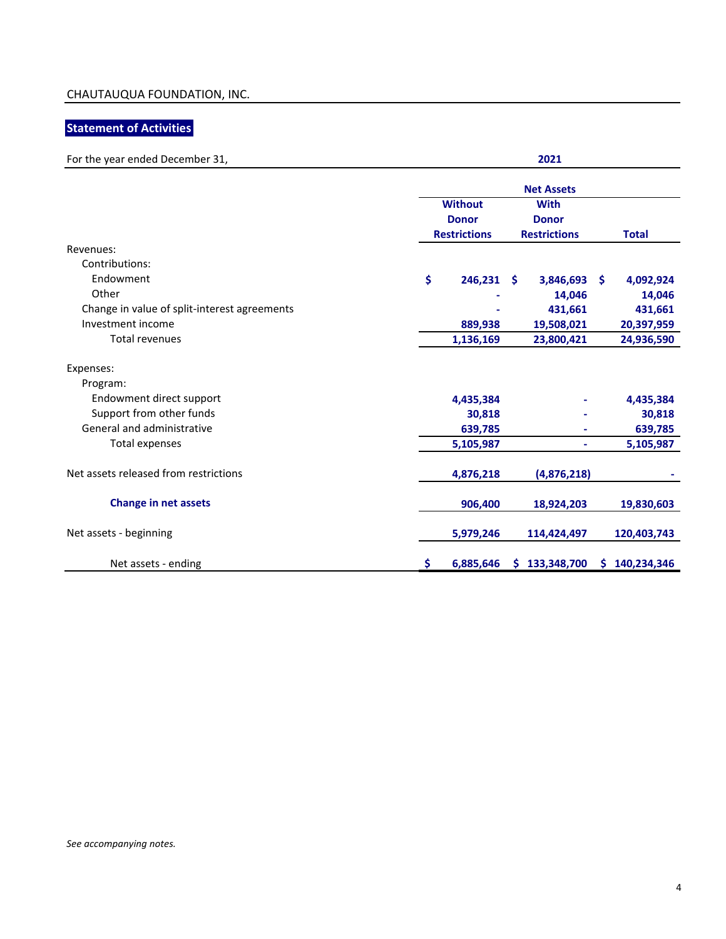# **Statement of Activities**

| For the year ended December 31, | 2021 |
|---------------------------------|------|

|                                              | <b>Net Assets</b>   |                     |          |               |  |
|----------------------------------------------|---------------------|---------------------|----------|---------------|--|
|                                              | <b>Without</b>      | <b>With</b>         |          |               |  |
|                                              | <b>Donor</b>        | <b>Donor</b>        |          |               |  |
|                                              | <b>Restrictions</b> | <b>Restrictions</b> |          | <b>Total</b>  |  |
| Revenues:                                    |                     |                     |          |               |  |
| Contributions:                               |                     |                     |          |               |  |
| Endowment                                    | \$<br>246,231       | 3,846,693<br>Ŝ.     | <b>S</b> | 4,092,924     |  |
| Other                                        |                     | 14,046              |          | 14,046        |  |
| Change in value of split-interest agreements |                     | 431,661             |          | 431,661       |  |
| Investment income                            | 889,938             | 19,508,021          |          | 20,397,959    |  |
| <b>Total revenues</b>                        | 1,136,169           | 23,800,421          |          | 24,936,590    |  |
| Expenses:                                    |                     |                     |          |               |  |
| Program:                                     |                     |                     |          |               |  |
| Endowment direct support                     | 4,435,384           |                     |          | 4,435,384     |  |
| Support from other funds                     | 30,818              |                     |          | 30,818        |  |
| General and administrative                   | 639,785             |                     |          | 639,785       |  |
| <b>Total expenses</b>                        | 5,105,987           |                     |          | 5,105,987     |  |
| Net assets released from restrictions        | 4,876,218           | (4,876,218)         |          |               |  |
| <b>Change in net assets</b>                  | 906,400             | 18,924,203          |          | 19,830,603    |  |
| Net assets - beginning                       | 5,979,246           | 114,424,497         |          | 120,403,743   |  |
| Net assets - ending                          | \$<br>6,885,646     | \$133,348,700       |          | \$140,234,346 |  |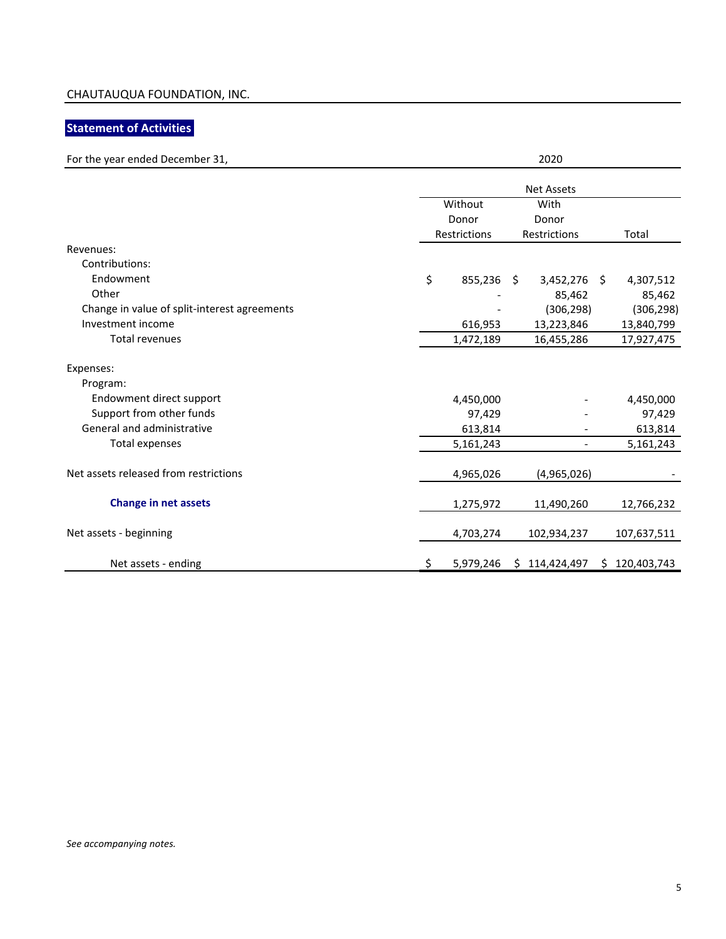# **Statement of Activities**

| For the year ended December 31, | 2020 |
|---------------------------------|------|

|                                              | <b>Net Assets</b> |              |      |               |    |               |
|----------------------------------------------|-------------------|--------------|------|---------------|----|---------------|
|                                              |                   | Without      |      | With          |    |               |
|                                              |                   | Donor        |      | Donor         |    |               |
|                                              |                   | Restrictions |      | Restrictions  |    | Total         |
| Revenues:                                    |                   |              |      |               |    |               |
| Contributions:                               |                   |              |      |               |    |               |
| Endowment                                    | \$                | 855,236      | - \$ | 3,452,276     | S. | 4,307,512     |
| Other                                        |                   |              |      | 85,462        |    | 85,462        |
| Change in value of split-interest agreements |                   |              |      | (306, 298)    |    | (306, 298)    |
| Investment income                            |                   | 616,953      |      | 13,223,846    |    | 13,840,799    |
| <b>Total revenues</b>                        |                   | 1,472,189    |      | 16,455,286    |    | 17,927,475    |
| Expenses:<br>Program:                        |                   |              |      |               |    |               |
| Endowment direct support                     |                   | 4,450,000    |      |               |    | 4,450,000     |
| Support from other funds                     |                   | 97,429       |      |               |    | 97,429        |
| General and administrative                   |                   | 613,814      |      |               |    | 613,814       |
| <b>Total expenses</b>                        |                   | 5,161,243    |      |               |    | 5,161,243     |
| Net assets released from restrictions        |                   | 4,965,026    |      | (4,965,026)   |    |               |
| <b>Change in net assets</b>                  |                   | 1,275,972    |      | 11,490,260    |    | 12,766,232    |
| Net assets - beginning                       |                   | 4,703,274    |      | 102,934,237   |    | 107,637,511   |
| Net assets - ending                          | \$                | 5,979,246    |      | \$114,424,497 |    | \$120,403,743 |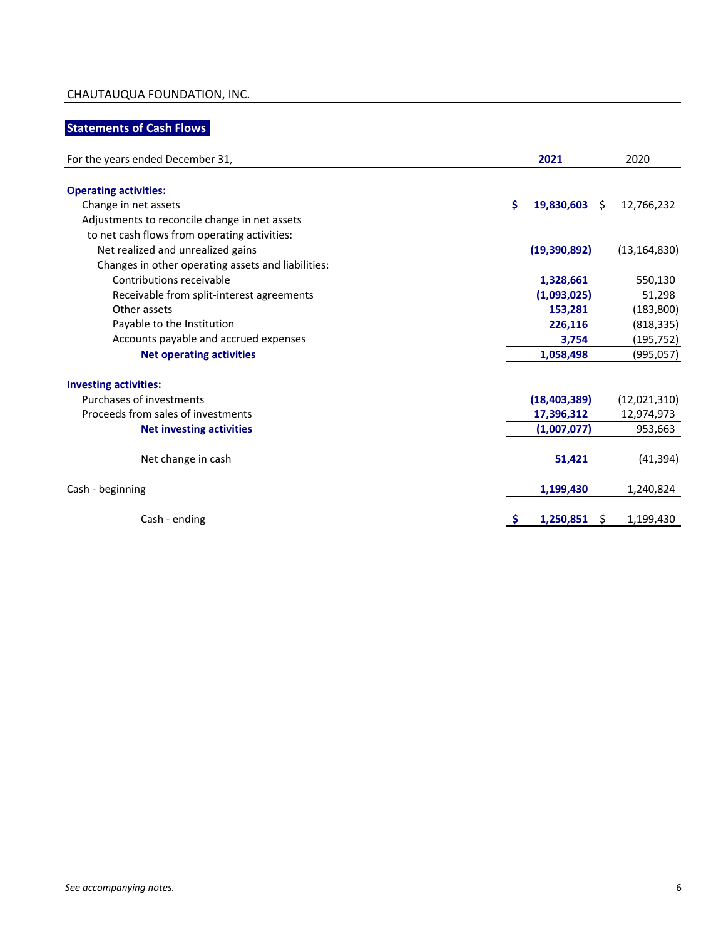# CHAUTAUQUA FOUNDATION, INC.

# **Statements of Cash Flows**

| For the years ended December 31,                   |    | 2021           | 2020             |  |
|----------------------------------------------------|----|----------------|------------------|--|
|                                                    |    |                |                  |  |
| <b>Operating activities:</b>                       |    |                |                  |  |
| Change in net assets                               | \$ | 19,830,603     | 12,766,232<br>S. |  |
| Adjustments to reconcile change in net assets      |    |                |                  |  |
| to net cash flows from operating activities:       |    |                |                  |  |
| Net realized and unrealized gains                  |    | (19,390,892)   | (13, 164, 830)   |  |
| Changes in other operating assets and liabilities: |    |                |                  |  |
| Contributions receivable                           |    | 1,328,661      | 550,130          |  |
| Receivable from split-interest agreements          |    | (1,093,025)    | 51,298           |  |
| Other assets                                       |    | 153,281        | (183, 800)       |  |
| Payable to the Institution                         |    | 226,116        | (818, 335)       |  |
| Accounts payable and accrued expenses              |    | 3,754          | (195, 752)       |  |
| <b>Net operating activities</b>                    |    | 1,058,498      | (995, 057)       |  |
| <b>Investing activities:</b>                       |    |                |                  |  |
| Purchases of investments                           |    | (18, 403, 389) | (12,021,310)     |  |
| Proceeds from sales of investments                 |    | 17,396,312     | 12,974,973       |  |
| <b>Net investing activities</b>                    |    | (1,007,077)    | 953,663          |  |
| Net change in cash                                 |    | 51,421         | (41, 394)        |  |
| Cash - beginning                                   |    | 1,199,430      | 1,240,824        |  |
| Cash - ending                                      | S. | $1,250,851$ \$ | 1,199,430        |  |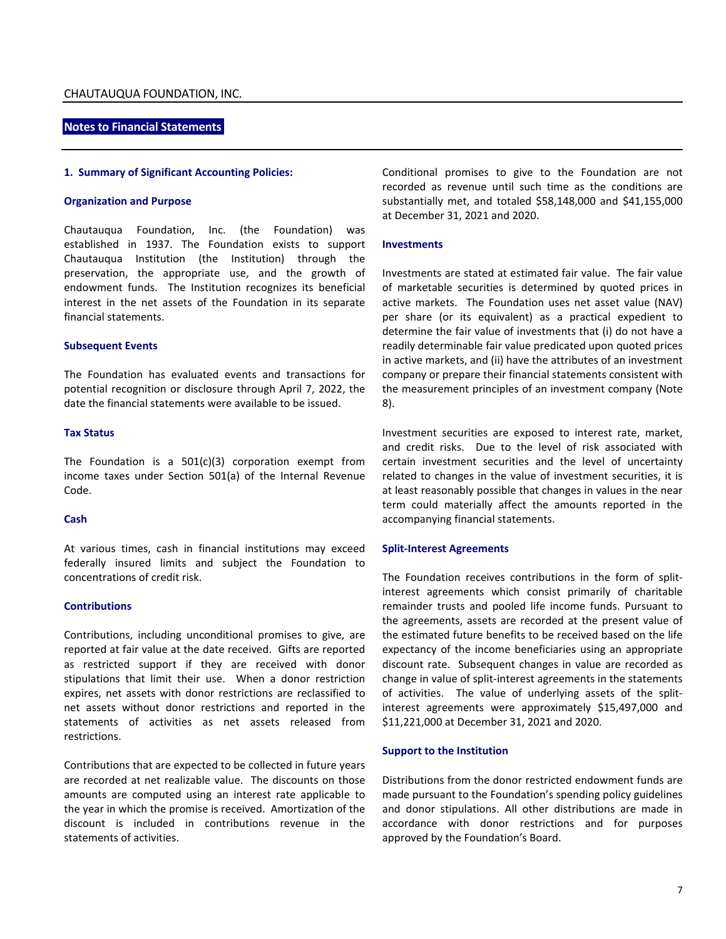### **Notes to Financial Statements**

#### **1. Summary of Significant Accounting Policies:**

#### **Organization and Purpose**

Chautauqua Foundation, Inc. (the Foundation) was established in 1937. The Foundation exists to support Chautauqua Institution (the Institution) through the preservation, the appropriate use, and the growth of endowment funds. The Institution recognizes its beneficial interest in the net assets of the Foundation in its separate financial statements.

#### **Subsequent Events**

The Foundation has evaluated events and transactions for potential recognition or disclosure through April 7, 2022, the date the financial statements were available to be issued.

#### **Tax Status**

The Foundation is a 501(c)(3) corporation exempt from income taxes under Section 501(a) of the Internal Revenue Code.

#### **Cash**

At various times, cash in financial institutions may exceed federally insured limits and subject the Foundation to concentrations of credit risk.

### **Contributions**

Contributions, including unconditional promises to give, are reported at fair value at the date received. Gifts are reported as restricted support if they are received with donor stipulations that limit their use. When a donor restriction expires, net assets with donor restrictions are reclassified to net assets without donor restrictions and reported in the statements of activities as net assets released from restrictions.

Contributions that are expected to be collected in future years are recorded at net realizable value. The discounts on those amounts are computed using an interest rate applicable to the year in which the promise is received. Amortization of the discount is included in contributions revenue in the statements of activities.

Conditional promises to give to the Foundation are not recorded as revenue until such time as the conditions are substantially met, and totaled \$58,148,000 and \$41,155,000 at December 31, 2021 and 2020.

#### **Investments**

Investments are stated at estimated fair value. The fair value of marketable securities is determined by quoted prices in active markets. The Foundation uses net asset value (NAV) per share (or its equivalent) as a practical expedient to determine the fair value of investments that (i) do not have a readily determinable fair value predicated upon quoted prices in active markets, and (ii) have the attributes of an investment company or prepare their financial statements consistent with the measurement principles of an investment company (Note 8).

Investment securities are exposed to interest rate, market, and credit risks. Due to the level of risk associated with certain investment securities and the level of uncertainty related to changes in the value of investment securities, it is at least reasonably possible that changes in values in the near term could materially affect the amounts reported in the accompanying financial statements.

#### **Split-Interest Agreements**

The Foundation receives contributions in the form of splitinterest agreements which consist primarily of charitable remainder trusts and pooled life income funds. Pursuant to the agreements, assets are recorded at the present value of the estimated future benefits to be received based on the life expectancy of the income beneficiaries using an appropriate discount rate. Subsequent changes in value are recorded as change in value of split-interest agreements in the statements of activities. The value of underlying assets of the splitinterest agreements were approximately \$15,497,000 and \$11,221,000 at December 31, 2021 and 2020.

#### **Support to the Institution**

Distributions from the donor restricted endowment funds are made pursuant to the Foundation's spending policy guidelines and donor stipulations. All other distributions are made in accordance with donor restrictions and for purposes approved by the Foundation's Board.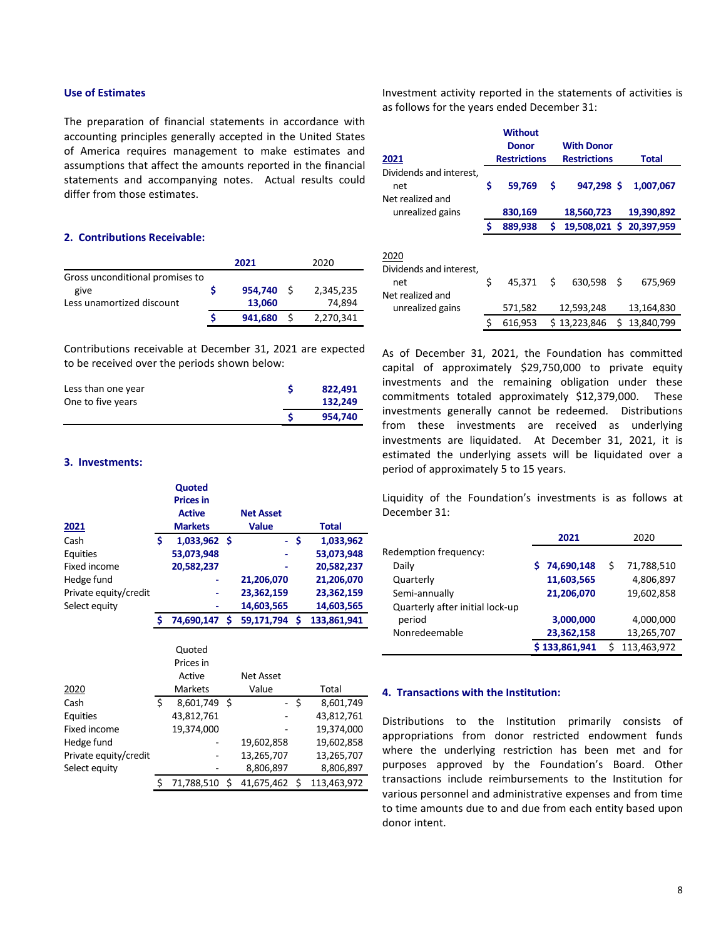## **Use of Estimates**

The preparation of financial statements in accordance with accounting principles generally accepted in the United States of America requires management to make estimates and assumptions that affect the amounts reported in the financial statements and accompanying notes. Actual results could differ from those estimates.

#### **2. Contributions Receivable:**

|                                 | 2021    |     | 2020      |
|---------------------------------|---------|-----|-----------|
| Gross unconditional promises to |         |     |           |
| give                            | 954.740 | - S | 2,345,235 |
| Less unamortized discount       | 13,060  |     | 74.894    |
|                                 | 941,680 |     | 2,270,341 |

Contributions receivable at December 31, 2021 are expected to be received over the periods shown below:

| Less than one year | 822,491 |
|--------------------|---------|
| One to five years  | 132,249 |
|                    | 954,740 |

## **3. Investments:**

|                       | Quoted<br><b>Prices in</b> |     |                  |      |              |
|-----------------------|----------------------------|-----|------------------|------|--------------|
|                       | <b>Active</b>              |     | <b>Net Asset</b> |      |              |
| <u> 2021</u>          | <b>Markets</b>             |     | <b>Value</b>     |      | <b>Total</b> |
| Cash                  | \$<br>1,033,962 \$         |     |                  | - \$ | 1,033,962    |
| Equities              | 53,073,948                 |     |                  |      | 53,073,948   |
| Fixed income          | 20,582,237                 |     |                  |      | 20,582,237   |
| Hedge fund            |                            |     | 21,206,070       |      | 21,206,070   |
| Private equity/credit |                            |     | 23,362,159       |      | 23,362,159   |
| Select equity         |                            |     | 14,603,565       |      | 14,603,565   |
|                       | \$<br>74,690,147           | \$. | 59,171,794 \$    |      | 133,861,941  |
|                       |                            |     |                  |      |              |
|                       | Quoted                     |     |                  |      |              |
|                       | Prices in                  |     |                  |      |              |
|                       | Active                     |     | <b>Net Asset</b> |      |              |
| 2020                  | Markets                    |     | Value            |      | Total        |
| Cash                  | \$<br>8,601,749 \$         |     |                  | - \$ | 8,601,749    |
| Equities              | 43,812,761                 |     |                  |      | 43,812,761   |
| Fixed income          | 19,374,000                 |     |                  |      | 19,374,000   |
| Hedge fund            |                            |     | 19,602,858       |      | 19,602,858   |
| Private equity/credit |                            |     | 13,265,707       |      | 13,265,707   |
| Select equity         |                            |     | 8,806,897        |      | 8,806,897    |
|                       | \$<br>71,788,510           | \$  | 41,675,462       | \$   | 113,463,972  |

Investment activity reported in the statements of activities is as follows for the years ended December 31:

| 2021                                                       |    | <b>Without</b><br>Donor<br><b>Restrictions</b> |    | <b>With Donor</b><br><b>Restrictions</b> |      | Total      |
|------------------------------------------------------------|----|------------------------------------------------|----|------------------------------------------|------|------------|
| Dividends and interest,<br>net<br>Net realized and         | \$ | 59.769                                         | S  | 947.298 \$                               |      | 1.007.067  |
| unrealized gains                                           |    | 830,169                                        |    | 18,560,723                               |      | 19,390,892 |
|                                                            | Ś  | 889,938                                        | Ś. | 19,508,021 \$ 20,397,959                 |      |            |
| 2020<br>Dividends and interest,<br>net<br>Net realized and | \$ | 45.371                                         | \$ | 630,598                                  | - \$ | 675,969    |
| unrealized gains                                           |    | 571,582                                        |    | 12,593,248                               |      | 13,164,830 |
|                                                            | Ś  | 616,953                                        |    | \$13,223,846                             | Ś.   | 13,840,799 |

As of December 31, 2021, the Foundation has committed capital of approximately \$29,750,000 to private equity investments and the remaining obligation under these commitments totaled approximately \$12,379,000. These investments generally cannot be redeemed. Distributions from these investments are received as underlying investments are liquidated. At December 31, 2021, it is estimated the underlying assets will be liquidated over a period of approximately 5 to 15 years.

Liquidity of the Foundation's investments is as follows at December 31:

|                                 | 2021          |   | 2020        |
|---------------------------------|---------------|---|-------------|
| Redemption frequency:           |               |   |             |
| Daily                           | \$74,690,148  | Ś | 71,788,510  |
| Quarterly                       | 11,603,565    |   | 4,806,897   |
| Semi-annually                   | 21,206,070    |   | 19,602,858  |
| Quarterly after initial lock-up |               |   |             |
| period                          | 3,000,000     |   | 4,000,000   |
| Nonredeemable                   | 23,362,158    |   | 13,265,707  |
|                                 | \$133,861,941 |   | 113,463,972 |

### **4. Transactions with the Institution:**

Distributions to the Institution primarily consists of appropriations from donor restricted endowment funds where the underlying restriction has been met and for purposes approved by the Foundation's Board. Other transactions include reimbursements to the Institution for various personnel and administrative expenses and from time to time amounts due to and due from each entity based upon donor intent.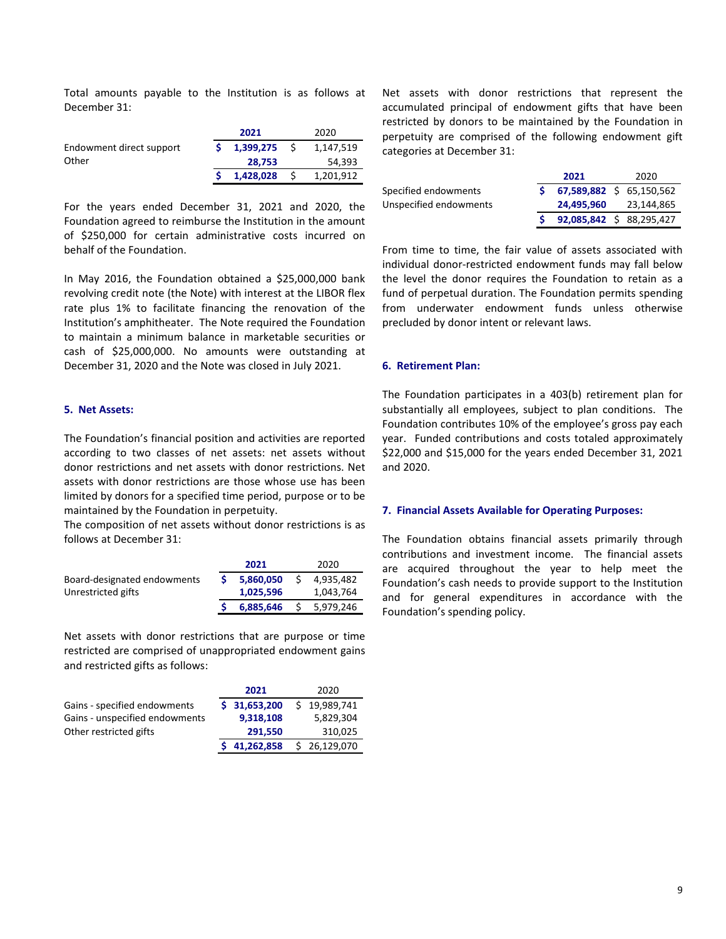Total amounts payable to the Institution is as follows at December 31:

|                          | 2021      | 2020      |
|--------------------------|-----------|-----------|
| Endowment direct support | 1,399,275 | 1,147,519 |
| Other                    | 28,753    | 54,393    |
|                          | 1,428,028 | 1,201,912 |

For the years ended December 31, 2021 and 2020, the Foundation agreed to reimburse the Institution in the amount of \$250,000 for certain administrative costs incurred on behalf of the Foundation.

In May 2016, the Foundation obtained a \$25,000,000 bank revolving credit note (the Note) with interest at the LIBOR flex rate plus 1% to facilitate financing the renovation of the Institution's amphitheater. The Note required the Foundation to maintain a minimum balance in marketable securities or cash of \$25,000,000. No amounts were outstanding at December 31, 2020 and the Note was closed in July 2021.

### **5. Net Assets:**

The Foundation's financial position and activities are reported according to two classes of net assets: net assets without donor restrictions and net assets with donor restrictions. Net assets with donor restrictions are those whose use has been limited by donors for a specified time period, purpose or to be maintained by the Foundation in perpetuity.

The composition of net assets without donor restrictions is as follows at December 31:

|                             | 2021      |    | 2020                   |
|-----------------------------|-----------|----|------------------------|
| Board-designated endowments | 5.860.050 | -S | 4.935.482              |
| Unrestricted gifts          | 1,025,596 |    | 1,043,764<br>5.979.246 |
|                             | 6,885,646 | -S |                        |

Net assets with donor restrictions that are purpose or time restricted are comprised of unappropriated endowment gains and restricted gifts as follows:

|                                | 2021         | 2020         |
|--------------------------------|--------------|--------------|
| Gains - specified endowments   | \$31,653,200 | \$19.989.741 |
| Gains - unspecified endowments | 9,318,108    | 5,829,304    |
| Other restricted gifts         | 291.550      | 310.025      |
|                                | \$41,262,858 | \$26,129,070 |

Net assets with donor restrictions that represent the accumulated principal of endowment gifts that have been restricted by donors to be maintained by the Foundation in perpetuity are comprised of the following endowment gift categories at December 31:

|                        | 2021                            | 2020       |
|------------------------|---------------------------------|------------|
| Specified endowments   | 67,589,882 \$ 65,150,562        |            |
| Unspecified endowments | 24.495.960                      | 23,144,865 |
|                        | <b>92,085,842</b> \$ 88,295,427 |            |

From time to time, the fair value of assets associated with individual donor-restricted endowment funds may fall below the level the donor requires the Foundation to retain as a fund of perpetual duration. The Foundation permits spending from underwater endowment funds unless otherwise precluded by donor intent or relevant laws.

#### **6. Retirement Plan:**

The Foundation participates in a 403(b) retirement plan for substantially all employees, subject to plan conditions. The Foundation contributes 10% of the employee's gross pay each year. Funded contributions and costs totaled approximately \$22,000 and \$15,000 for the years ended December 31, 2021 and 2020.

#### **7. Financial Assets Available for Operating Purposes:**

The Foundation obtains financial assets primarily through contributions and investment income. The financial assets are acquired throughout the year to help meet the Foundation's cash needs to provide support to the Institution and for general expenditures in accordance with the Foundation's spending policy.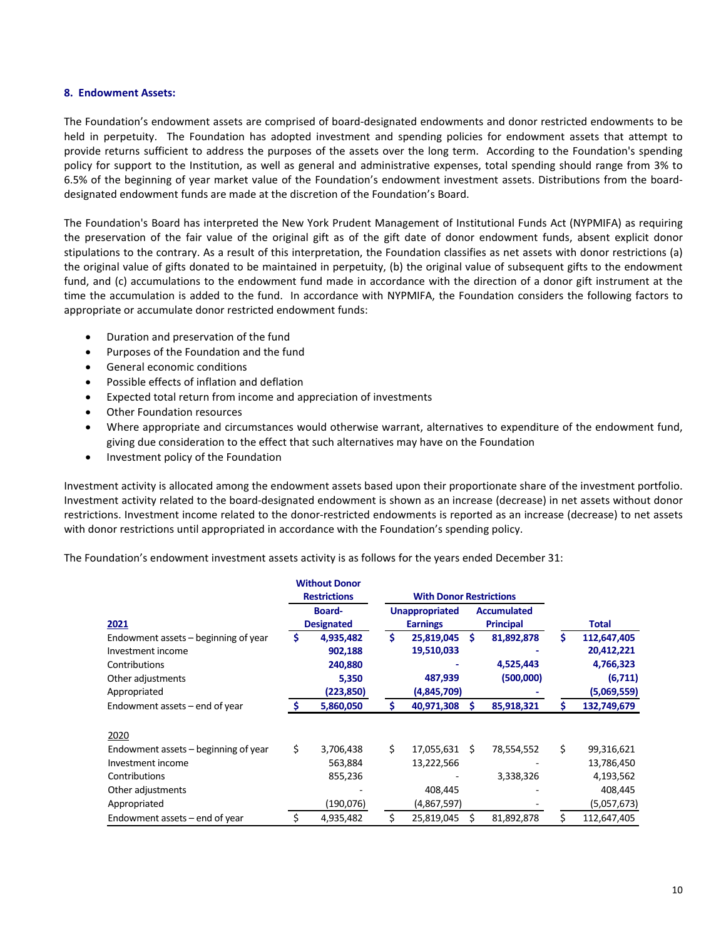### **8. Endowment Assets:**

The Foundation's endowment assets are comprised of board-designated endowments and donor restricted endowments to be held in perpetuity. The Foundation has adopted investment and spending policies for endowment assets that attempt to provide returns sufficient to address the purposes of the assets over the long term. According to the Foundation's spending policy for support to the Institution, as well as general and administrative expenses, total spending should range from 3% to 6.5% of the beginning of year market value of the Foundation's endowment investment assets. Distributions from the boarddesignated endowment funds are made at the discretion of the Foundation's Board.

The Foundation's Board has interpreted the New York Prudent Management of Institutional Funds Act (NYPMIFA) as requiring the preservation of the fair value of the original gift as of the gift date of donor endowment funds, absent explicit donor stipulations to the contrary. As a result of this interpretation, the Foundation classifies as net assets with donor restrictions (a) the original value of gifts donated to be maintained in perpetuity, (b) the original value of subsequent gifts to the endowment fund, and (c) accumulations to the endowment fund made in accordance with the direction of a donor gift instrument at the time the accumulation is added to the fund. In accordance with NYPMIFA, the Foundation considers the following factors to appropriate or accumulate donor restricted endowment funds:

- Duration and preservation of the fund
- Purposes of the Foundation and the fund
- General economic conditions
- Possible effects of inflation and deflation
- Expected total return from income and appreciation of investments
- Other Foundation resources
- Where appropriate and circumstances would otherwise warrant, alternatives to expenditure of the endowment fund, giving due consideration to the effect that such alternatives may have on the Foundation
- Investment policy of the Foundation

Investment activity is allocated among the endowment assets based upon their proportionate share of the investment portfolio. Investment activity related to the board-designated endowment is shown as an increase (decrease) in net assets without donor restrictions. Investment income related to the donor-restricted endowments is reported as an increase (decrease) to net assets with donor restrictions until appropriated in accordance with the Foundation's spending policy.

The Foundation's endowment investment assets activity is as follows for the years ended December 31:

| <b>Without Donor</b><br><b>Restrictions</b><br><b>Board-</b><br>2021<br><b>Designated</b>                       |    | <b>With Donor Restrictions</b><br><b>Unappropriated</b><br><b>Accumulated</b><br><b>Principal</b><br><b>Earnings</b> |    |                                                    |    |                                      | <b>Total</b> |                                                                   |
|-----------------------------------------------------------------------------------------------------------------|----|----------------------------------------------------------------------------------------------------------------------|----|----------------------------------------------------|----|--------------------------------------|--------------|-------------------------------------------------------------------|
| Endowment assets – beginning of year<br>Investment income<br>Contributions<br>Other adjustments<br>Appropriated | Ŝ. | 4,935,482<br>902,188<br>240,880<br>5,350<br>(223, 850)                                                               | Ś  | 25,819,045<br>19,510,033<br>487,939<br>(4,845,709) | Ŝ. | 81,892,878<br>4,525,443<br>(500,000) | \$.          | 112,647,405<br>20,412,221<br>4,766,323<br>(6, 711)<br>(5,069,559) |
| Endowment assets $-$ end of year                                                                                | Ŝ  | 5,860,050                                                                                                            | Ś. | 40,971,308                                         |    | 85,918,321                           | S.           | 132,749,679                                                       |
| 2020                                                                                                            |    |                                                                                                                      |    |                                                    |    |                                      |              |                                                                   |
| Endowment assets – beginning of year                                                                            | \$ | 3,706,438                                                                                                            | \$ | 17,055,631                                         | Ŝ. | 78,554,552                           | \$           | 99,316,621                                                        |
| Investment income                                                                                               |    | 563,884                                                                                                              |    | 13,222,566                                         |    |                                      |              | 13,786,450                                                        |
| Contributions                                                                                                   |    | 855,236                                                                                                              |    |                                                    |    | 3,338,326                            |              | 4,193,562                                                         |
| Other adjustments                                                                                               |    |                                                                                                                      |    | 408,445                                            |    |                                      |              | 408,445                                                           |
| Appropriated                                                                                                    |    | (190,076)                                                                                                            |    | (4,867,597)                                        |    |                                      |              | (5,057,673)                                                       |
| Endowment assets $-$ end of year                                                                                |    | 4,935,482                                                                                                            | \$ | 25,819,045                                         |    | 81,892,878                           | \$           | 112,647,405                                                       |